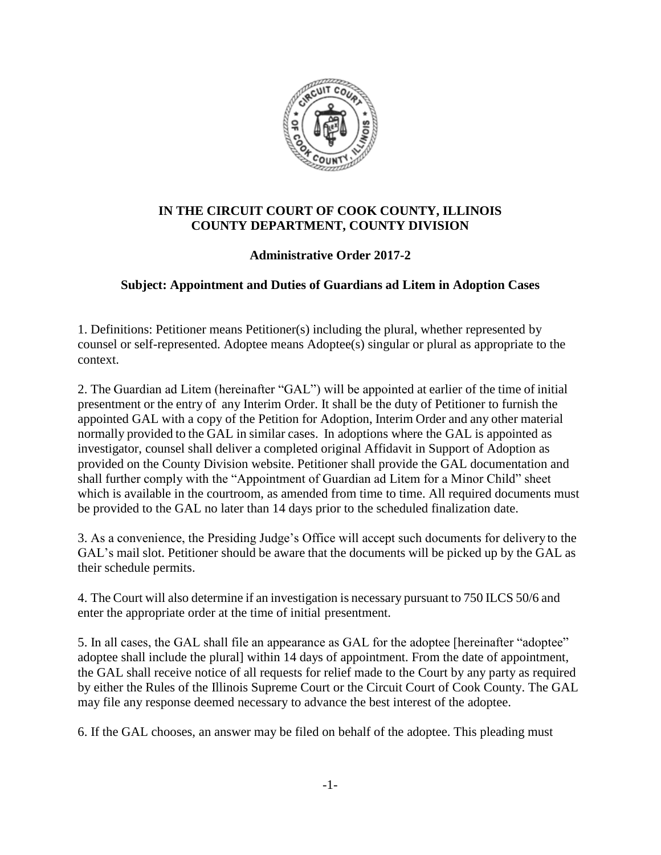

## **IN THE CIRCUIT COURT OF COOK COUNTY, ILLINOIS COUNTY DEPARTMENT, COUNTY DIVISION**

## **Administrative Order 2017-2**

## **Subject: Appointment and Duties of Guardians ad Litem in Adoption Cases**

1. Definitions: Petitioner means Petitioner(s) including the plural, whether represented by counsel or self-represented. Adoptee means Adoptee(s) singular or plural as appropriate to the context.

2. The Guardian ad Litem (hereinafter "GAL") will be appointed at earlier of the time of initial presentment or the entry of any Interim Order. It shall be the duty of Petitioner to furnish the appointed GAL with a copy of the Petition for Adoption, Interim Order and any other material normally provided to the GAL in similar cases. In adoptions where the GAL is appointed as investigator, counsel shall deliver a completed original Affidavit in Support of Adoption as provided on the County Division website. Petitioner shall provide the GAL documentation and shall further comply with the "Appointment of Guardian ad Litem for a Minor Child" sheet which is available in the courtroom, as amended from time to time. All required documents must be provided to the GAL no later than 14 days prior to the scheduled finalization date.

3. As a convenience, the Presiding Judge's Office will accept such documents for delivery to the GAL's mail slot. Petitioner should be aware that the documents will be picked up by the GAL as their schedule permits.

4. The Court will also determine if an investigation is necessary pursuant to 750 ILCS 50/6 and enter the appropriate order at the time of initial presentment.

5. In all cases, the GAL shall file an appearance as GAL for the adoptee [hereinafter "adoptee" adoptee shall include the plural] within 14 days of appointment. From the date of appointment, the GAL shall receive notice of all requests for relief made to the Court by any party as required by either the Rules of the Illinois Supreme Court or the Circuit Court of Cook County. The GAL may file any response deemed necessary to advance the best interest of the adoptee.

6. If the GAL chooses, an answer may be filed on behalf of the adoptee. This pleading must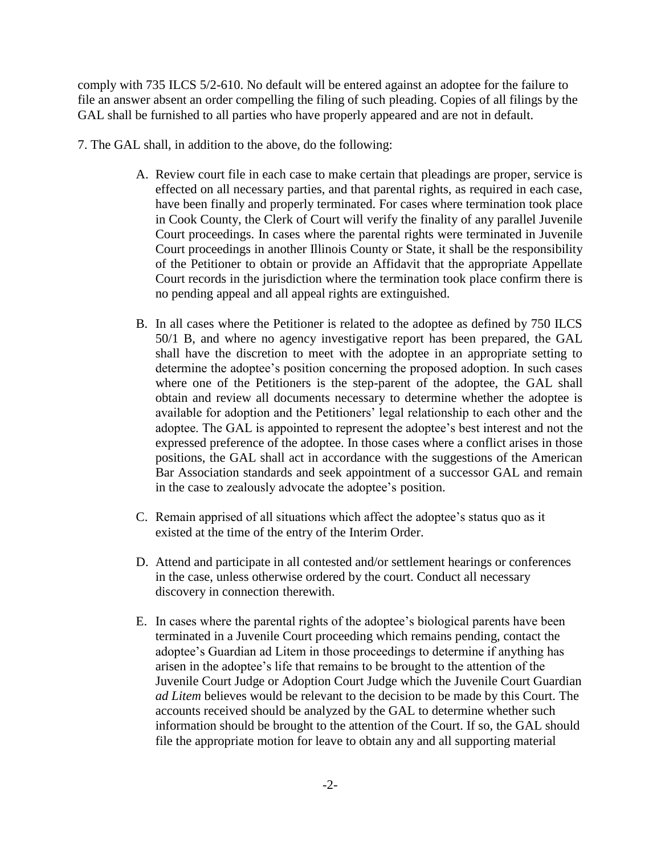comply with 735 ILCS 5/2-610. No default will be entered against an adoptee for the failure to file an answer absent an order compelling the filing of such pleading. Copies of all filings by the GAL shall be furnished to all parties who have properly appeared and are not in default.

- 7. The GAL shall, in addition to the above, do the following:
	- A. Review court file in each case to make certain that pleadings are proper, service is effected on all necessary parties, and that parental rights, as required in each case, have been finally and properly terminated. For cases where termination took place in Cook County, the Clerk of Court will verify the finality of any parallel Juvenile Court proceedings. In cases where the parental rights were terminated in Juvenile Court proceedings in another Illinois County or State, it shall be the responsibility of the Petitioner to obtain or provide an Affidavit that the appropriate Appellate Court records in the jurisdiction where the termination took place confirm there is no pending appeal and all appeal rights are extinguished.
	- B. In all cases where the Petitioner is related to the adoptee as defined by 750 ILCS 50/1 B, and where no agency investigative report has been prepared, the GAL shall have the discretion to meet with the adoptee in an appropriate setting to determine the adoptee's position concerning the proposed adoption. In such cases where one of the Petitioners is the step-parent of the adoptee, the GAL shall obtain and review all documents necessary to determine whether the adoptee is available for adoption and the Petitioners' legal relationship to each other and the adoptee. The GAL is appointed to represent the adoptee's best interest and not the expressed preference of the adoptee. In those cases where a conflict arises in those positions, the GAL shall act in accordance with the suggestions of the American Bar Association standards and seek appointment of a successor GAL and remain in the case to zealously advocate the adoptee's position.
	- C. Remain apprised of all situations which affect the adoptee's status quo as it existed at the time of the entry of the Interim Order.
	- D. Attend and participate in all contested and/or settlement hearings or conferences in the case, unless otherwise ordered by the court. Conduct all necessary discovery in connection therewith.
	- E. In cases where the parental rights of the adoptee's biological parents have been terminated in a Juvenile Court proceeding which remains pending, contact the adoptee's Guardian ad Litem in those proceedings to determine if anything has arisen in the adoptee's life that remains to be brought to the attention of the Juvenile Court Judge or Adoption Court Judge which the Juvenile Court Guardian *ad Litem* believes would be relevant to the decision to be made by this Court. The accounts received should be analyzed by the GAL to determine whether such information should be brought to the attention of the Court. If so, the GAL should file the appropriate motion for leave to obtain any and all supporting material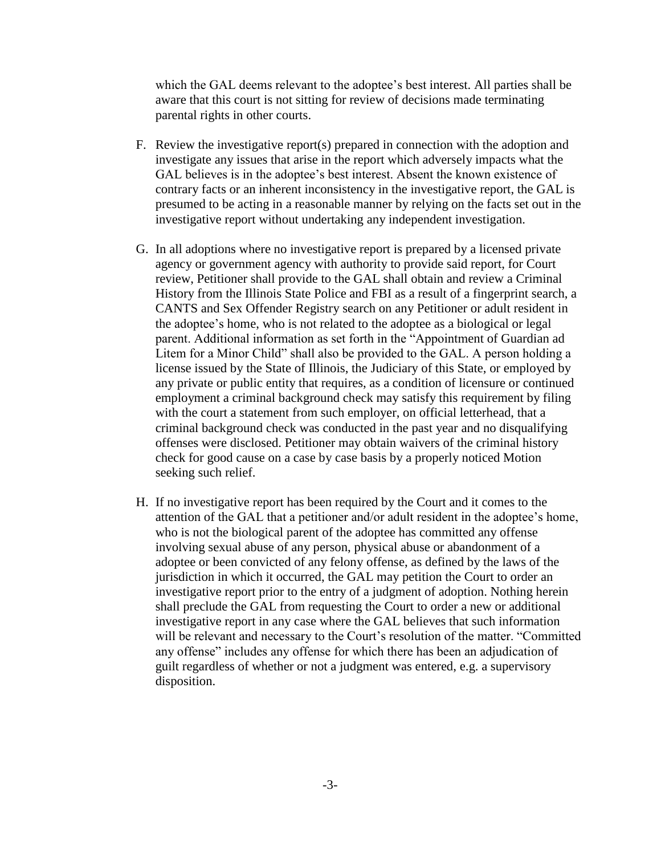which the GAL deems relevant to the adoptee's best interest. All parties shall be aware that this court is not sitting for review of decisions made terminating parental rights in other courts.

- F. Review the investigative report(s) prepared in connection with the adoption and investigate any issues that arise in the report which adversely impacts what the GAL believes is in the adoptee's best interest. Absent the known existence of contrary facts or an inherent inconsistency in the investigative report, the GAL is presumed to be acting in a reasonable manner by relying on the facts set out in the investigative report without undertaking any independent investigation.
- G. In all adoptions where no investigative report is prepared by a licensed private agency or government agency with authority to provide said report, for Court review, Petitioner shall provide to the GAL shall obtain and review a Criminal History from the Illinois State Police and FBI as a result of a fingerprint search, a CANTS and Sex Offender Registry search on any Petitioner or adult resident in the adoptee's home, who is not related to the adoptee as a biological or legal parent. Additional information as set forth in the "Appointment of Guardian ad Litem for a Minor Child" shall also be provided to the GAL. A person holding a license issued by the State of Illinois, the Judiciary of this State, or employed by any private or public entity that requires, as a condition of licensure or continued employment a criminal background check may satisfy this requirement by filing with the court a statement from such employer, on official letterhead, that a criminal background check was conducted in the past year and no disqualifying offenses were disclosed. Petitioner may obtain waivers of the criminal history check for good cause on a case by case basis by a properly noticed Motion seeking such relief.
- H. If no investigative report has been required by the Court and it comes to the attention of the GAL that a petitioner and/or adult resident in the adoptee's home, who is not the biological parent of the adoptee has committed any offense involving sexual abuse of any person, physical abuse or abandonment of a adoptee or been convicted of any felony offense, as defined by the laws of the jurisdiction in which it occurred, the GAL may petition the Court to order an investigative report prior to the entry of a judgment of adoption. Nothing herein shall preclude the GAL from requesting the Court to order a new or additional investigative report in any case where the GAL believes that such information will be relevant and necessary to the Court's resolution of the matter. "Committed any offense" includes any offense for which there has been an adjudication of guilt regardless of whether or not a judgment was entered, e.g. a supervisory disposition.